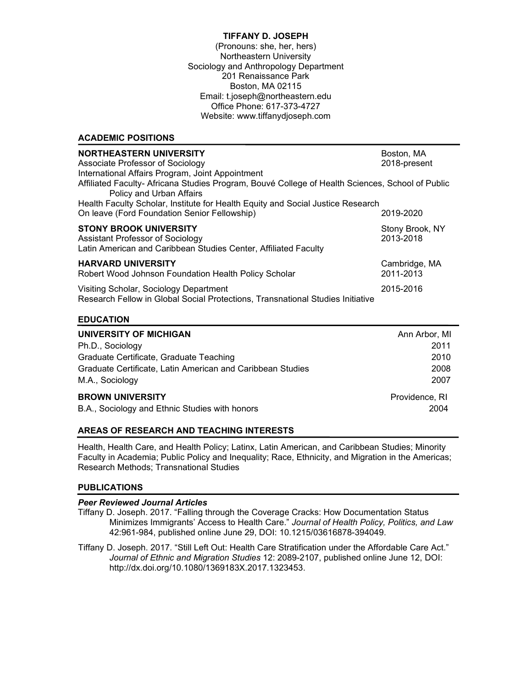### **TIFFANY D. JOSEPH**

(Pronouns: she, her, hers) Northeastern University Sociology and Anthropology Department 201 Renaissance Park Boston, MA 02115 Email: t.joseph@northeastern.edu Office Phone: 617-373-4727 Website: www.tiffanydjoseph.com

### **ACADEMIC POSITIONS**

| <b>NORTHEASTERN UNIVERSITY</b><br>Associate Professor of Sociology<br>International Affairs Program, Joint Appointment               | Boston, MA<br>2018-present   |
|--------------------------------------------------------------------------------------------------------------------------------------|------------------------------|
| Affiliated Faculty-Africana Studies Program, Bouvé College of Health Sciences, School of Public<br>Policy and Urban Affairs          |                              |
| Health Faculty Scholar, Institute for Health Equity and Social Justice Research<br>On leave (Ford Foundation Senior Fellowship)      | 2019-2020                    |
| <b>STONY BROOK UNIVERSITY</b><br>Assistant Professor of Sociology<br>Latin American and Caribbean Studies Center, Affiliated Faculty | Stony Brook, NY<br>2013-2018 |
| <b>HARVARD UNIVERSITY</b><br>Robert Wood Johnson Foundation Health Policy Scholar                                                    | Cambridge, MA<br>2011-2013   |
| Visiting Scholar, Sociology Department<br>Research Fellow in Global Social Protections, Transnational Studies Initiative             | 2015-2016                    |

### **EDUCATION**

| UNIVERSITY OF MICHIGAN                                     | Ann Arbor, MI  |
|------------------------------------------------------------|----------------|
| Ph.D., Sociology                                           | 2011           |
| Graduate Certificate, Graduate Teaching                    | 2010           |
| Graduate Certificate, Latin American and Caribbean Studies | 2008           |
| M.A., Sociology                                            | 2007           |
| <b>BROWN UNIVERSITY</b>                                    | Providence, RI |
| B.A., Sociology and Ethnic Studies with honors             | 2004           |

# **AREAS OF RESEARCH AND TEACHING INTERESTS**

Health, Health Care, and Health Policy; Latinx, Latin American, and Caribbean Studies; Minority Faculty in Academia; Public Policy and Inequality; Race, Ethnicity, and Migration in the Americas; Research Methods; Transnational Studies

# **PUBLICATIONS**

### *Peer Reviewed Journal Articles*

- Tiffany D. Joseph. 2017. "Falling through the Coverage Cracks: How Documentation Status Minimizes Immigrants' Access to Health Care." *Journal of Health Policy, Politics, and Law* 42:961-984, published online June 29, DOI: 10.1215/03616878-394049.
- Tiffany D. Joseph. 2017. "Still Left Out: Health Care Stratification under the Affordable Care Act." *Journal of Ethnic and Migration Studies* 12: 2089-2107, published online June 12, DOI: http://dx.doi.org/10.1080/1369183X.2017.1323453.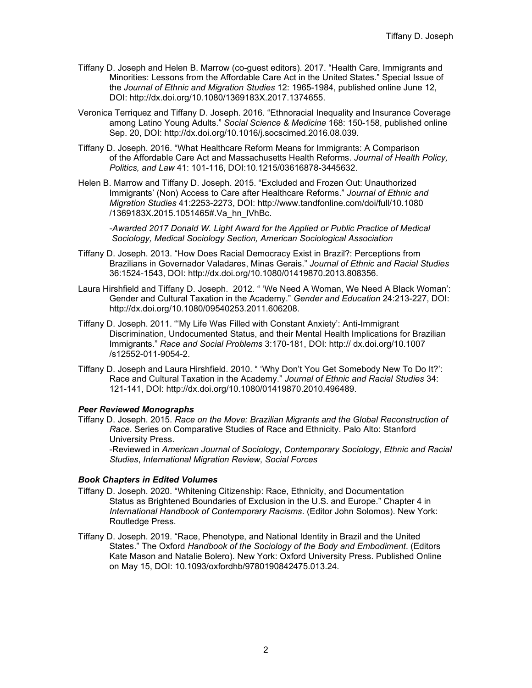- Tiffany D. Joseph and Helen B. Marrow (co-guest editors). 2017. "Health Care, Immigrants and Minorities: Lessons from the Affordable Care Act in the United States." Special Issue of the *Journal of Ethnic and Migration Studies* 12: 1965-1984, published online June 12, DOI: http://dx.doi.org/10.1080/1369183X.2017.1374655.
- Veronica Terriquez and Tiffany D. Joseph. 2016. "Ethnoracial Inequality and Insurance Coverage among Latino Young Adults." *Social Science & Medicine* 168: 150-158, published online Sep. 20, DOI: http://dx.doi.org/10.1016/j.socscimed.2016.08.039.
- Tiffany D. Joseph. 2016. "What Healthcare Reform Means for Immigrants: A Comparison of the Affordable Care Act and Massachusetts Health Reforms. *Journal of Health Policy, Politics, and Law* 41: 101-116, DOI:10.1215/03616878-3445632.
- Helen B. Marrow and Tiffany D. Joseph. 2015. "Excluded and Frozen Out: Unauthorized Immigrants' (Non) Access to Care after Healthcare Reforms." *Journal of Ethnic and Migration Studies* 41:2253-2273, DOI: http://www.tandfonline.com/doi/full/10.1080 /1369183X.2015.1051465#.Va\_hn\_lVhBc.

-*Awarded 2017 Donald W. Light Award for the Applied or Public Practice of Medical Sociology, Medical Sociology Section, American Sociological Association*

- Tiffany D. Joseph. 2013. "How Does Racial Democracy Exist in Brazil?: Perceptions from Brazilians in Governador Valadares, Minas Gerais." *Journal of Ethnic and Racial Studies* 36:1524-1543, DOI: http://dx.doi.org/10.1080/01419870.2013.808356.
- Laura Hirshfield and Tiffany D. Joseph. 2012. " 'We Need A Woman, We Need A Black Woman': Gender and Cultural Taxation in the Academy." *Gender and Education* 24:213-227, DOI: http://dx.doi.org/10.1080/09540253.2011.606208.
- Tiffany D. Joseph. 2011. "'My Life Was Filled with Constant Anxiety': Anti-Immigrant Discrimination, Undocumented Status, and their Mental Health Implications for Brazilian Immigrants." *Race and Social Problems* 3:170-181, DOI: http:// dx.doi.org/10.1007 /s12552-011-9054-2.
- Tiffany D. Joseph and Laura Hirshfield. 2010. " 'Why Don't You Get Somebody New To Do It?': Race and Cultural Taxation in the Academy." *Journal of Ethnic and Racial Studies* 34: 121-141, DOI: http://dx.doi.org/10.1080/01419870.2010.496489.

### *Peer Reviewed Monographs*

Tiffany D. Joseph. 2015. *Race on the Move: Brazilian Migrants and the Global Reconstruction of Race*. Series on Comparative Studies of Race and Ethnicity. Palo Alto: Stanford University Press. -Reviewed in *American Journal of Sociology*, *Contemporary Sociology*, *Ethnic and Racial Studies*, *International Migration Review*, *Social Forces*

### *Book Chapters in Edited Volumes*

- Tiffany D. Joseph. 2020. "Whitening Citizenship: Race, Ethnicity, and Documentation Status as Brightened Boundaries of Exclusion in the U.S. and Europe." Chapter 4 in *International Handbook of Contemporary Racisms*. (Editor John Solomos). New York: Routledge Press.
- Tiffany D. Joseph. 2019. "Race, Phenotype, and National Identity in Brazil and the United States." The Oxford *Handbook of the Sociology of the Body and Embodiment*. (Editors Kate Mason and Natalie Bolero). New York: Oxford University Press. Published Online on May 15, DOI: 10.1093/oxfordhb/9780190842475.013.24.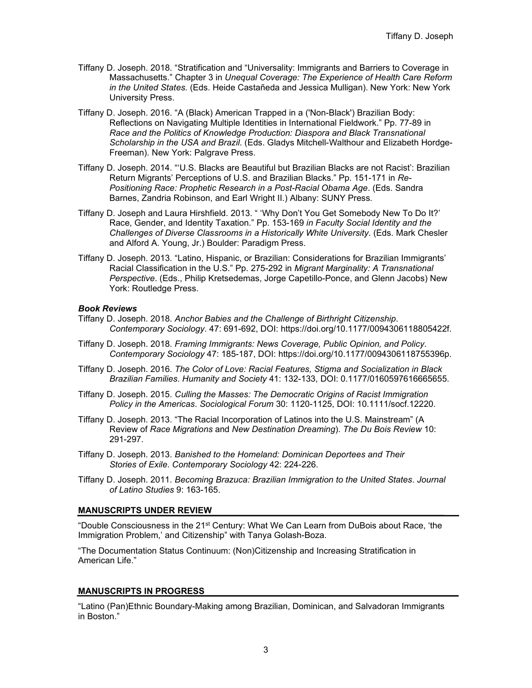- Tiffany D. Joseph. 2018. "Stratification and "Universality: Immigrants and Barriers to Coverage in Massachusetts." Chapter 3 in *Unequal Coverage: The Experience of Health Care Reform in the United States.* (Eds. Heide Castañeda and Jessica Mulligan). New York: New York University Press.
- Tiffany D. Joseph. 2016. "A (Black) American Trapped in a ('Non-Black') Brazilian Body: Reflections on Navigating Multiple Identities in International Fieldwork." Pp. 77-89 in *Race and the Politics of Knowledge Production: Diaspora and Black Transnational Scholarship in the USA and Brazil*. (Eds. Gladys Mitchell-Walthour and Elizabeth Hordge-Freeman). New York: Palgrave Press.
- Tiffany D. Joseph. 2014. "'U.S. Blacks are Beautiful but Brazilian Blacks are not Racist': Brazilian Return Migrants' Perceptions of U.S. and Brazilian Blacks." Pp. 151-171 in *Re-Positioning Race: Prophetic Research in a Post-Racial Obama Age*. (Eds. Sandra Barnes, Zandria Robinson, and Earl Wright II.) Albany: SUNY Press*.*
- Tiffany D. Joseph and Laura Hirshfield. 2013. " 'Why Don't You Get Somebody New To Do It?' Race, Gender, and Identity Taxation." Pp. 153-169 *in Faculty Social Identity and the Challenges of Diverse Classrooms in a Historically White University*. (Eds. Mark Chesler and Alford A. Young, Jr.) Boulder: Paradigm Press.
- Tiffany D. Joseph. 2013. "Latino, Hispanic, or Brazilian: Considerations for Brazilian Immigrants' Racial Classification in the U.S." Pp. 275-292 in *Migrant Marginality: A Transnational Perspective*. (Eds., Philip Kretsedemas, Jorge Capetillo-Ponce, and Glenn Jacobs) New York: Routledge Press.

### *Book Reviews*

- Tiffany D. Joseph. 2018. *Anchor Babies and the Challenge of Birthright Citizenship*. *Contemporary Sociology*. 47: 691-692, DOI: https://doi.org/10.1177/0094306118805422f.
- Tiffany D. Joseph. 2018. *Framing Immigrants: News Coverage, Public Opinion, and Policy*. *Contemporary Sociology* 47: 185-187, DOI: https://doi.org/10.1177/0094306118755396p.
- Tiffany D. Joseph. 2016. *The Color of Love: Racial Features, Stigma and Socialization in Black Brazilian Families*. *Humanity and Society* 41: 132-133, DOI: 0.1177/0160597616665655.
- Tiffany D. Joseph. 2015. *Culling the Masses: The Democratic Origins of Racist Immigration Policy in the Americas*. *Sociological Forum* 30: 1120-1125, DOI: 10.1111/socf.12220.
- Tiffany D. Joseph. 2013. "The Racial Incorporation of Latinos into the U.S. Mainstream" (A Review of *Race Migrations* and *New Destination Dreaming*). *The Du Bois Review* 10: 291-297.
- Tiffany D. Joseph. 2013. *Banished to the Homeland: Dominican Deportees and Their Stories of Exile*. *Contemporary Sociology* 42: 224-226.
- Tiffany D. Joseph. 2011. *Becoming Brazuca: Brazilian Immigration to the United States*. *Journal of Latino Studies* 9: 163-165.

#### **MANUSCRIPTS UNDER REVIEW**

"Double Consciousness in the 21st Century: What We Can Learn from DuBois about Race, 'the Immigration Problem,' and Citizenship" with Tanya Golash-Boza.

"The Documentation Status Continuum: (Non)Citizenship and Increasing Stratification in American Life."

### **MANUSCRIPTS IN PROGRESS**

"Latino (Pan)Ethnic Boundary-Making among Brazilian, Dominican, and Salvadoran Immigrants in Boston."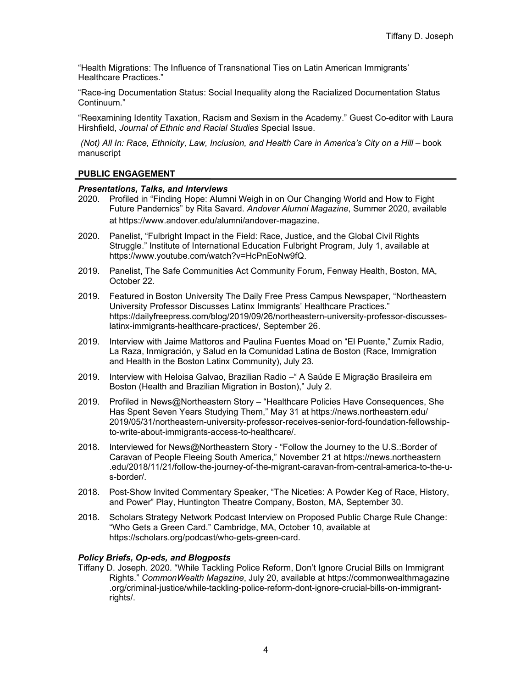"Health Migrations: The Influence of Transnational Ties on Latin American Immigrants' Healthcare Practices."

"Race-ing Documentation Status: Social Inequality along the Racialized Documentation Status Continuum."

"Reexamining Identity Taxation, Racism and Sexism in the Academy." Guest Co-editor with Laura Hirshfield, *Journal of Ethnic and Racial Studies* Special Issue.

*(Not) All In: Race, Ethnicity, Law, Inclusion, and Health Care in America's City on a Hill* – book manuscript

### **PUBLIC ENGAGEMENT**

### *Presentations, Talks, and Interviews*

- 2020. Profiled in "Finding Hope: Alumni Weigh in on Our Changing World and How to Fight Future Pandemics" by Rita Savard. *Andover Alumni Magazine*, Summer 2020, available at https://www.andover.edu/alumni/andover-magazine.
- 2020. Panelist, "Fulbright Impact in the Field: Race, Justice, and the Global Civil Rights Struggle." Institute of International Education Fulbright Program, July 1, available at https://www.youtube.com/watch?v=HcPnEoNw9fQ.
- 2019. Panelist, The Safe Communities Act Community Forum, Fenway Health, Boston, MA, October 22.
- 2019. Featured in Boston University The Daily Free Press Campus Newspaper, "Northeastern University Professor Discusses Latinx Immigrants' Healthcare Practices." https://dailyfreepress.com/blog/2019/09/26/northeastern-university-professor-discusseslatinx-immigrants-healthcare-practices/, September 26.
- 2019. Interview with Jaime Mattoros and Paulina Fuentes Moad on "El Puente," Zumix Radio, La Raza, Inmigración, y Salud en la Comunidad Latina de Boston (Race, Immigration and Health in the Boston Latinx Community), July 23.
- 2019. Interview with Heloisa Galvao, Brazilian Radio –" A Saúde E Migração Brasileira em Boston (Health and Brazilian Migration in Boston)," July 2.
- 2019. Profiled in News@Northeastern Story "Healthcare Policies Have Consequences, She Has Spent Seven Years Studying Them," May 31 at https://news.northeastern.edu/ 2019/05/31/northeastern-university-professor-receives-senior-ford-foundation-fellowshipto-write-about-immigrants-access-to-healthcare/.
- 2018. Interviewed for News@Northeastern Story "Follow the Journey to the U.S.:Border of Caravan of People Fleeing South America," November 21 at https://news.northeastern .edu/2018/11/21/follow-the-journey-of-the-migrant-caravan-from-central-america-to-the-us-border/.
- 2018. Post-Show Invited Commentary Speaker, "The Niceties: A Powder Keg of Race, History, and Power" Play, Huntington Theatre Company, Boston, MA, September 30.
- 2018. Scholars Strategy Network Podcast Interview on Proposed Public Charge Rule Change: "Who Gets a Green Card." Cambridge, MA, October 10, available at https://scholars.org/podcast/who-gets-green-card.

### *Policy Briefs, Op-eds, and Blogposts*

Tiffany D. Joseph. 2020. "While Tackling Police Reform, Don't Ignore Crucial Bills on Immigrant Rights." *CommonWealth Magazine*, July 20, available at https://commonwealthmagazine .org/criminal-justice/while-tackling-police-reform-dont-ignore-crucial-bills-on-immigrantrights/.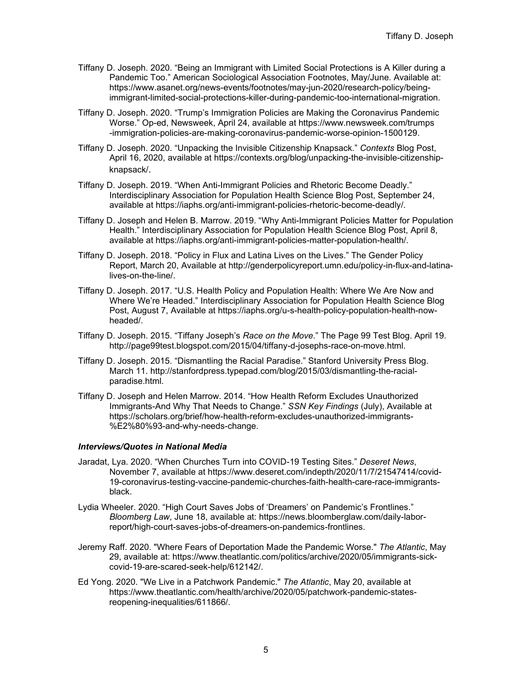- Tiffany D. Joseph. 2020. "Being an Immigrant with Limited Social Protections is A Killer during a Pandemic Too." American Sociological Association Footnotes, May/June. Available at: https://www.asanet.org/news-events/footnotes/may-jun-2020/research-policy/beingimmigrant-limited-social-protections-killer-during-pandemic-too-international-migration.
- Tiffany D. Joseph. 2020. "Trump's Immigration Policies are Making the Coronavirus Pandemic Worse." Op-ed, Newsweek, April 24, available at https://www.newsweek.com/trumps -immigration-policies-are-making-coronavirus-pandemic-worse-opinion-1500129.
- Tiffany D. Joseph. 2020. "Unpacking the Invisible Citizenship Knapsack." *Contexts* Blog Post, April 16, 2020, available at https://contexts.org/blog/unpacking-the-invisible-citizenshipknapsack/.
- Tiffany D. Joseph. 2019. "When Anti-Immigrant Policies and Rhetoric Become Deadly." Interdisciplinary Association for Population Health Science Blog Post, September 24, available at https://iaphs.org/anti-immigrant-policies-rhetoric-become-deadly/.
- Tiffany D. Joseph and Helen B. Marrow. 2019. "Why Anti-Immigrant Policies Matter for Population Health." Interdisciplinary Association for Population Health Science Blog Post, April 8, available at https://iaphs.org/anti-immigrant-policies-matter-population-health/.
- Tiffany D. Joseph. 2018. "Policy in Flux and Latina Lives on the Lives." The Gender Policy Report, March 20, Available at http://genderpolicyreport.umn.edu/policy-in-flux-and-latinalives-on-the-line/.
- Tiffany D. Joseph. 2017. "U.S. Health Policy and Population Health: Where We Are Now and Where We're Headed." Interdisciplinary Association for Population Health Science Blog Post, August 7, Available at https://iaphs.org/u-s-health-policy-population-health-nowheaded/.
- Tiffany D. Joseph. 2015. "Tiffany Joseph's *Race on the Move*." The Page 99 Test Blog. April 19. http://page99test.blogspot.com/2015/04/tiffany-d-josephs-race-on-move.html.
- Tiffany D. Joseph. 2015. "Dismantling the Racial Paradise." Stanford University Press Blog. March 11. http://stanfordpress.typepad.com/blog/2015/03/dismantling-the-racialparadise.html.
- Tiffany D. Joseph and Helen Marrow. 2014. "How Health Reform Excludes Unauthorized Immigrants-And Why That Needs to Change." *SSN Key Findings* (July), Available at https://scholars.org/brief/how-health-reform-excludes-unauthorized-immigrants- %E2%80%93-and-why-needs-change.

### *Interviews/Quotes in National Media*

- Jaradat, Lya. 2020. "When Churches Turn into COVID-19 Testing Sites." *Deseret News*, November 7, available at https://www.deseret.com/indepth/2020/11/7/21547414/covid-19-coronavirus-testing-vaccine-pandemic-churches-faith-health-care-race-immigrantsblack.
- Lydia Wheeler. 2020. "High Court Saves Jobs of 'Dreamers' on Pandemic's Frontlines." *Bloomberg Law*, June 18, available at: https://news.bloomberglaw.com/daily-laborreport/high-court-saves-jobs-of-dreamers-on-pandemics-frontlines.
- Jeremy Raff. 2020. "Where Fears of Deportation Made the Pandemic Worse." *The Atlantic*, May 29, available at: https://www.theatlantic.com/politics/archive/2020/05/immigrants-sickcovid-19-are-scared-seek-help/612142/.
- Ed Yong. 2020. "We Live in a Patchwork Pandemic." *The Atlantic*, May 20, available at https://www.theatlantic.com/health/archive/2020/05/patchwork-pandemic-statesreopening-inequalities/611866/.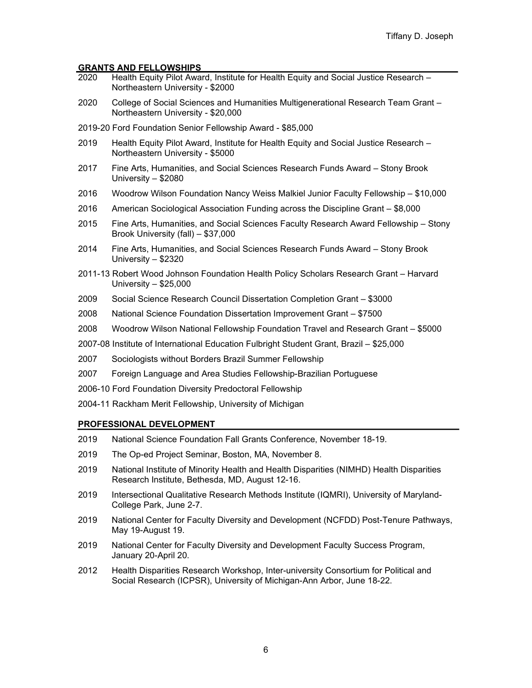# **GRANTS AND FELLOWSHIPS**

- Health Equity Pilot Award, Institute for Health Equity and Social Justice Research Northeastern University - \$2000
- 2020 College of Social Sciences and Humanities Multigenerational Research Team Grant Northeastern University - \$20,000
- 2019-20 Ford Foundation Senior Fellowship Award \$85,000
- 2019 Health Equity Pilot Award, Institute for Health Equity and Social Justice Research Northeastern University - \$5000
- 2017 Fine Arts, Humanities, and Social Sciences Research Funds Award Stony Brook University – \$2080
- 2016 Woodrow Wilson Foundation Nancy Weiss Malkiel Junior Faculty Fellowship \$10,000
- 2016 American Sociological Association Funding across the Discipline Grant \$8,000
- 2015 Fine Arts, Humanities, and Social Sciences Faculty Research Award Fellowship Stony Brook University (fall) – \$37,000
- 2014 Fine Arts, Humanities, and Social Sciences Research Funds Award Stony Brook University – \$2320
- 2011-13 Robert Wood Johnson Foundation Health Policy Scholars Research Grant Harvard University – \$25,000
- 2009 Social Science Research Council Dissertation Completion Grant \$3000
- 2008 National Science Foundation Dissertation Improvement Grant \$7500
- 2008 Woodrow Wilson National Fellowship Foundation Travel and Research Grant \$5000
- 2007-08 Institute of International Education Fulbright Student Grant, Brazil \$25,000
- 2007 Sociologists without Borders Brazil Summer Fellowship
- 2007 Foreign Language and Area Studies Fellowship-Brazilian Portuguese
- 2006-10 Ford Foundation Diversity Predoctoral Fellowship
- 2004-11 Rackham Merit Fellowship, University of Michigan

#### **PROFESSIONAL DEVELOPMENT**

- 2019 National Science Foundation Fall Grants Conference, November 18-19.
- 2019 The Op-ed Project Seminar, Boston, MA, November 8.
- 2019 National Institute of Minority Health and Health Disparities (NIMHD) Health Disparities Research Institute, Bethesda, MD, August 12-16.
- 2019 Intersectional Qualitative Research Methods Institute (IQMRI), University of Maryland-College Park, June 2-7.
- 2019 National Center for Faculty Diversity and Development (NCFDD) Post-Tenure Pathways, May 19-August 19.
- 2019 National Center for Faculty Diversity and Development Faculty Success Program, January 20-April 20.
- 2012 Health Disparities Research Workshop, Inter-university Consortium for Political and Social Research (ICPSR), University of Michigan-Ann Arbor, June 18-22.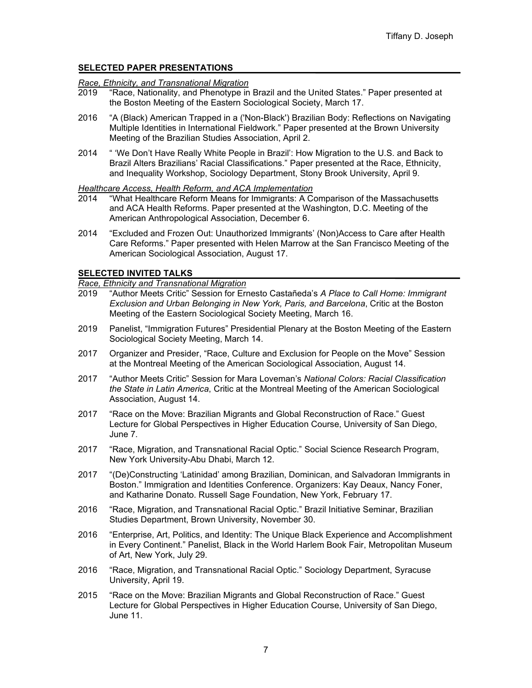# **SELECTED PAPER PRESENTATIONS**

# *Race, Ethnicity, and Transnational Migration*

- "Race, Nationality, and Phenotype in Brazil and the United States." Paper presented at the Boston Meeting of the Eastern Sociological Society, March 17.
- 2016 "A (Black) American Trapped in a ('Non-Black') Brazilian Body: Reflections on Navigating Multiple Identities in International Fieldwork." Paper presented at the Brown University Meeting of the Brazilian Studies Association, April 2.
- 2014 " 'We Don't Have Really White People in Brazil': How Migration to the U.S. and Back to Brazil Alters Brazilians' Racial Classifications." Paper presented at the Race, Ethnicity, and Inequality Workshop, Sociology Department, Stony Brook University, April 9.

# *Healthcare Access, Health Reform, and ACA Implementation*

- "What Healthcare Reform Means for Immigrants: A Comparison of the Massachusetts and ACA Health Reforms. Paper presented at the Washington, D.C. Meeting of the American Anthropological Association, December 6.
- 2014 "Excluded and Frozen Out: Unauthorized Immigrants' (Non)Access to Care after Health Care Reforms." Paper presented with Helen Marrow at the San Francisco Meeting of the American Sociological Association, August 17.

# **SELECTED INVITED TALKS**

*Race, Ethnicity and Transnational Migration*

- 2019 "Author Meets Critic" Session for Ernesto Castañeda's *A Place to Call Home: Immigrant Exclusion and Urban Belonging in New York, Paris, and Barcelona*, Critic at the Boston Meeting of the Eastern Sociological Society Meeting, March 16.
- 2019 Panelist, "Immigration Futures" Presidential Plenary at the Boston Meeting of the Eastern Sociological Society Meeting, March 14.
- 2017 Organizer and Presider, "Race, Culture and Exclusion for People on the Move" Session at the Montreal Meeting of the American Sociological Association, August 14.
- 2017 "Author Meets Critic" Session for Mara Loveman's *National Colors: Racial Classification the State in Latin America*, Critic at the Montreal Meeting of the American Sociological Association, August 14.
- 2017 "Race on the Move: Brazilian Migrants and Global Reconstruction of Race." Guest Lecture for Global Perspectives in Higher Education Course, University of San Diego, June 7.
- 2017 "Race, Migration, and Transnational Racial Optic." Social Science Research Program, New York University-Abu Dhabi, March 12.
- 2017 "(De)Constructing 'Latinidad' among Brazilian, Dominican, and Salvadoran Immigrants in Boston." Immigration and Identities Conference. Organizers: Kay Deaux, Nancy Foner, and Katharine Donato. Russell Sage Foundation, New York, February 17.
- 2016 "Race, Migration, and Transnational Racial Optic." Brazil Initiative Seminar, Brazilian Studies Department, Brown University, November 30.
- 2016 "Enterprise, Art, Politics, and Identity: The Unique Black Experience and Accomplishment in Every Continent." Panelist, Black in the World Harlem Book Fair, Metropolitan Museum of Art, New York, July 29.
- 2016 "Race, Migration, and Transnational Racial Optic." Sociology Department, Syracuse University, April 19.
- 2015 "Race on the Move: Brazilian Migrants and Global Reconstruction of Race." Guest Lecture for Global Perspectives in Higher Education Course, University of San Diego, June 11.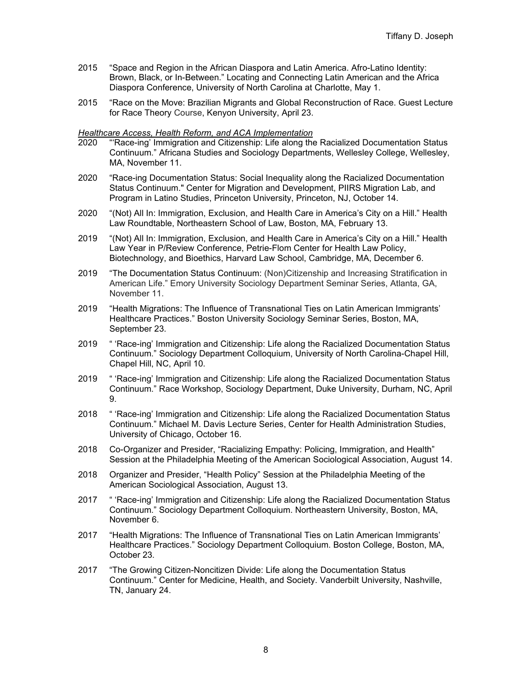- 2015 "Space and Region in the African Diaspora and Latin America. Afro-Latino Identity: Brown, Black, or In-Between." Locating and Connecting Latin American and the Africa Diaspora Conference, University of North Carolina at Charlotte, May 1.
- 2015 "Race on the Move: Brazilian Migrants and Global Reconstruction of Race. Guest Lecture for Race Theory Course, Kenyon University, April 23.

# *Healthcare Access, Health Reform, and ACA Implementation*

- 2020 "'Race-ing' Immigration and Citizenship: Life along the Racialized Documentation Status Continuum." Africana Studies and Sociology Departments, Wellesley College, Wellesley, MA, November 11.
- 2020 "Race-ing Documentation Status: Social Inequality along the Racialized Documentation Status Continuum." Center for Migration and Development, PIIRS Migration Lab, and Program in Latino Studies, Princeton University, Princeton, NJ, October 14.
- 2020 "(Not) All In: Immigration, Exclusion, and Health Care in America's City on a Hill." Health Law Roundtable, Northeastern School of Law, Boston, MA, February 13.
- 2019 "(Not) All In: Immigration, Exclusion, and Health Care in America's City on a Hill." Health Law Year in P/Review Conference, Petrie-Flom Center for Health Law Policy, Biotechnology, and Bioethics, Harvard Law School, Cambridge, MA, December 6.
- 2019 "The Documentation Status Continuum: (Non)Citizenship and Increasing Stratification in American Life." Emory University Sociology Department Seminar Series, Atlanta, GA, November 11.
- 2019 "Health Migrations: The Influence of Transnational Ties on Latin American Immigrants' Healthcare Practices." Boston University Sociology Seminar Series, Boston, MA, September 23.
- 2019 " 'Race-ing' Immigration and Citizenship: Life along the Racialized Documentation Status Continuum." Sociology Department Colloquium, University of North Carolina-Chapel Hill, Chapel Hill, NC, April 10.
- 2019 " 'Race-ing' Immigration and Citizenship: Life along the Racialized Documentation Status Continuum." Race Workshop, Sociology Department, Duke University, Durham, NC, April 9.
- 2018 " 'Race-ing' Immigration and Citizenship: Life along the Racialized Documentation Status Continuum." Michael M. Davis Lecture Series, Center for Health Administration Studies, University of Chicago, October 16.
- 2018 Co-Organizer and Presider, "Racializing Empathy: Policing, Immigration, and Health" Session at the Philadelphia Meeting of the American Sociological Association, August 14.
- 2018 Organizer and Presider, "Health Policy" Session at the Philadelphia Meeting of the American Sociological Association, August 13.
- 2017 " 'Race-ing' Immigration and Citizenship: Life along the Racialized Documentation Status Continuum." Sociology Department Colloquium. Northeastern University, Boston, MA, November 6.
- 2017 "Health Migrations: The Influence of Transnational Ties on Latin American Immigrants' Healthcare Practices." Sociology Department Colloquium. Boston College, Boston, MA, October 23.
- 2017 "The Growing Citizen-Noncitizen Divide: Life along the Documentation Status Continuum." Center for Medicine, Health, and Society. Vanderbilt University, Nashville, TN, January 24.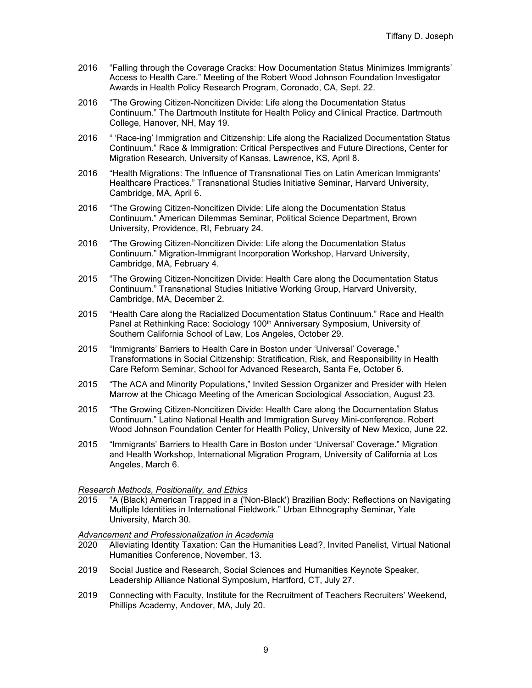- 2016 "Falling through the Coverage Cracks: How Documentation Status Minimizes Immigrants' Access to Health Care." Meeting of the Robert Wood Johnson Foundation Investigator Awards in Health Policy Research Program, Coronado, CA, Sept. 22.
- 2016 "The Growing Citizen-Noncitizen Divide: Life along the Documentation Status Continuum." The Dartmouth Institute for Health Policy and Clinical Practice. Dartmouth College, Hanover, NH, May 19.
- 2016 " 'Race-ing' Immigration and Citizenship: Life along the Racialized Documentation Status Continuum." Race & Immigration: Critical Perspectives and Future Directions, Center for Migration Research, University of Kansas, Lawrence, KS, April 8.
- 2016 "Health Migrations: The Influence of Transnational Ties on Latin American Immigrants' Healthcare Practices." Transnational Studies Initiative Seminar, Harvard University, Cambridge, MA, April 6.
- 2016 "The Growing Citizen-Noncitizen Divide: Life along the Documentation Status Continuum." American Dilemmas Seminar, Political Science Department, Brown University, Providence, RI, February 24.
- 2016 "The Growing Citizen-Noncitizen Divide: Life along the Documentation Status Continuum." Migration-Immigrant Incorporation Workshop, Harvard University, Cambridge, MA, February 4.
- 2015 "The Growing Citizen-Noncitizen Divide: Health Care along the Documentation Status Continuum." Transnational Studies Initiative Working Group, Harvard University, Cambridge, MA, December 2.
- 2015 "Health Care along the Racialized Documentation Status Continuum." Race and Health Panel at Rethinking Race: Sociology 100<sup>th</sup> Anniversary Symposium, University of Southern California School of Law, Los Angeles, October 29.
- 2015 "Immigrants' Barriers to Health Care in Boston under 'Universal' Coverage." Transformations in Social Citizenship: Stratification, Risk, and Responsibility in Health Care Reform Seminar, School for Advanced Research, Santa Fe, October 6.
- 2015 "The ACA and Minority Populations," Invited Session Organizer and Presider with Helen Marrow at the Chicago Meeting of the American Sociological Association, August 23.
- 2015 "The Growing Citizen-Noncitizen Divide: Health Care along the Documentation Status Continuum." Latino National Health and Immigration Survey Mini-conference. Robert Wood Johnson Foundation Center for Health Policy, University of New Mexico, June 22.
- 2015 "Immigrants' Barriers to Health Care in Boston under 'Universal' Coverage." Migration and Health Workshop, International Migration Program, University of California at Los Angeles, March 6.

### *Research Methods, Positionality, and Ethics*

2015 "A (Black) American Trapped in a ('Non-Black') Brazilian Body: Reflections on Navigating Multiple Identities in International Fieldwork." Urban Ethnography Seminar, Yale University, March 30.

# *Advancement and Professionalization in Academia*

- Alleviating Identity Taxation: Can the Humanities Lead?, Invited Panelist, Virtual National Humanities Conference, November, 13.
- 2019 Social Justice and Research, Social Sciences and Humanities Keynote Speaker, Leadership Alliance National Symposium, Hartford, CT, July 27.
- 2019 Connecting with Faculty, Institute for the Recruitment of Teachers Recruiters' Weekend, Phillips Academy, Andover, MA, July 20.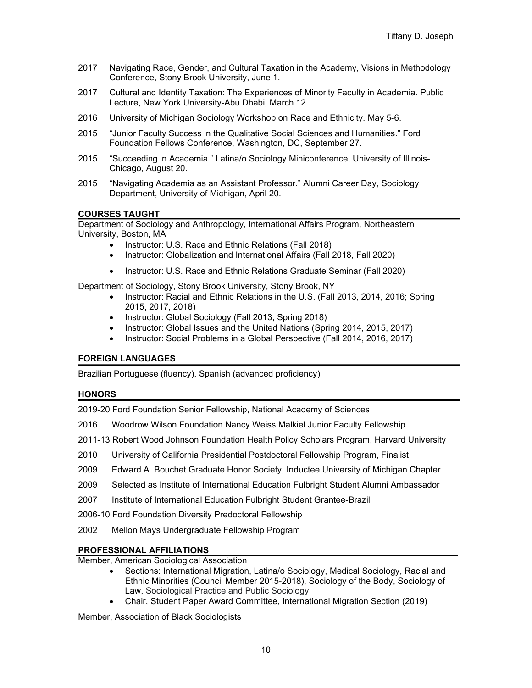- 2017 Navigating Race, Gender, and Cultural Taxation in the Academy, Visions in Methodology Conference, Stony Brook University, June 1.
- 2017 Cultural and Identity Taxation: The Experiences of Minority Faculty in Academia. Public Lecture, New York University-Abu Dhabi, March 12.
- 2016 University of Michigan Sociology Workshop on Race and Ethnicity. May 5-6.
- 2015 "Junior Faculty Success in the Qualitative Social Sciences and Humanities." Ford Foundation Fellows Conference, Washington, DC, September 27.
- 2015 "Succeeding in Academia." Latina/o Sociology Miniconference, University of Illinois-Chicago, August 20.
- 2015 "Navigating Academia as an Assistant Professor." Alumni Career Day, Sociology Department, University of Michigan, April 20.

# **COURSES TAUGHT**

Department of Sociology and Anthropology, International Affairs Program, Northeastern University, Boston, MA

- Instructor: U.S. Race and Ethnic Relations (Fall 2018)
- Instructor: Globalization and International Affairs (Fall 2018, Fall 2020)
- Instructor: U.S. Race and Ethnic Relations Graduate Seminar (Fall 2020)

Department of Sociology, Stony Brook University, Stony Brook, NY

- Instructor: Racial and Ethnic Relations in the U.S. (Fall 2013, 2014, 2016; Spring 2015, 2017, 2018)
- Instructor: Global Sociology (Fall 2013, Spring 2018)
- Instructor: Global Issues and the United Nations (Spring 2014, 2015, 2017)
- Instructor: Social Problems in a Global Perspective (Fall 2014, 2016, 2017)

# **FOREIGN LANGUAGES**

Brazilian Portuguese (fluency), Spanish (advanced proficiency)

### **HONORS**

2019-20 Ford Foundation Senior Fellowship, National Academy of Sciences

- 2016 Woodrow Wilson Foundation Nancy Weiss Malkiel Junior Faculty Fellowship
- 2011-13 Robert Wood Johnson Foundation Health Policy Scholars Program, Harvard University
- 2010 University of California Presidential Postdoctoral Fellowship Program, Finalist
- 2009 Edward A. Bouchet Graduate Honor Society, Inductee University of Michigan Chapter
- 2009 Selected as Institute of International Education Fulbright Student Alumni Ambassador
- 2007 Institute of International Education Fulbright Student Grantee-Brazil
- 2006-10 Ford Foundation Diversity Predoctoral Fellowship
- 2002 Mellon Mays Undergraduate Fellowship Program

# **PROFESSIONAL AFFILIATIONS**

Member, American Sociological Association

- Sections: International Migration, Latina/o Sociology, Medical Sociology, Racial and Ethnic Minorities (Council Member 2015-2018), Sociology of the Body, Sociology of Law, Sociological Practice and Public Sociology
- Chair, Student Paper Award Committee, International Migration Section (2019)

Member, Association of Black Sociologists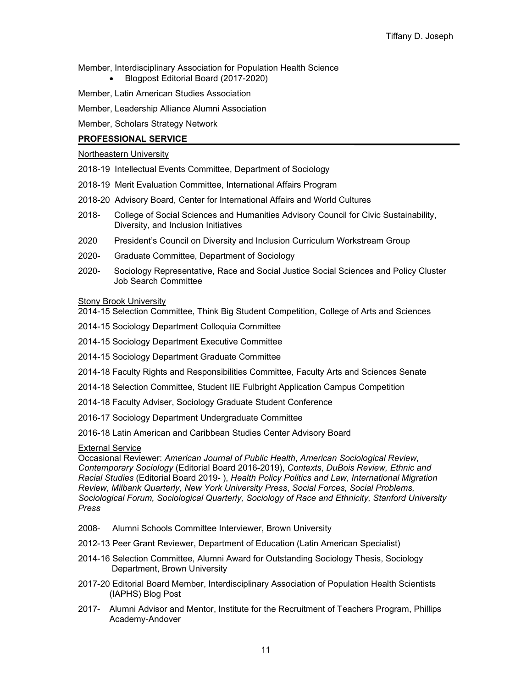Member, Interdisciplinary Association for Population Health Science

- Blogpost Editorial Board (2017-2020)
- Member, Latin American Studies Association
- Member, Leadership Alliance Alumni Association

Member, Scholars Strategy Network

### **PROFESSIONAL SERVICE**

### Northeastern University

- 2018-19 Intellectual Events Committee, Department of Sociology
- 2018-19 Merit Evaluation Committee, International Affairs Program
- 2018-20 Advisory Board, Center for International Affairs and World Cultures
- 2018- College of Social Sciences and Humanities Advisory Council for Civic Sustainability, Diversity, and Inclusion Initiatives
- 2020 President's Council on Diversity and Inclusion Curriculum Workstream Group
- 2020- Graduate Committee, Department of Sociology
- 2020- Sociology Representative, Race and Social Justice Social Sciences and Policy Cluster Job Search Committee

### **Stony Brook University**

2014-15 Selection Committee, Think Big Student Competition, College of Arts and Sciences

- 2014-15 Sociology Department Colloquia Committee
- 2014-15 Sociology Department Executive Committee
- 2014-15 Sociology Department Graduate Committee
- 2014-18 Faculty Rights and Responsibilities Committee, Faculty Arts and Sciences Senate
- 2014-18 Selection Committee, Student IIE Fulbright Application Campus Competition
- 2014-18 Faculty Adviser, Sociology Graduate Student Conference
- 2016-17 Sociology Department Undergraduate Committee
- 2016-18 Latin American and Caribbean Studies Center Advisory Board

### External Service

Occasional Reviewer: *American Journal of Public Health*, *American Sociological Review*, *Contemporary Sociology* (Editorial Board 2016-2019), *Contexts*, *DuBois Review, Ethnic and Racial Studies* (Editorial Board 2019- ), *Health Policy Politics and Law*, *International Migration Review*, *Milbank Quarterly*, *New York University Press*, *Social Forces, Social Problems, Sociological Forum, Sociological Quarterly, Sociology of Race and Ethnicity, Stanford University Press*

- 2008- Alumni Schools Committee Interviewer, Brown University
- 2012-13 Peer Grant Reviewer, Department of Education (Latin American Specialist)
- 2014-16 Selection Committee, Alumni Award for Outstanding Sociology Thesis, Sociology Department, Brown University
- 2017-20 Editorial Board Member, Interdisciplinary Association of Population Health Scientists (IAPHS) Blog Post
- 2017- Alumni Advisor and Mentor, Institute for the Recruitment of Teachers Program, Phillips Academy-Andover